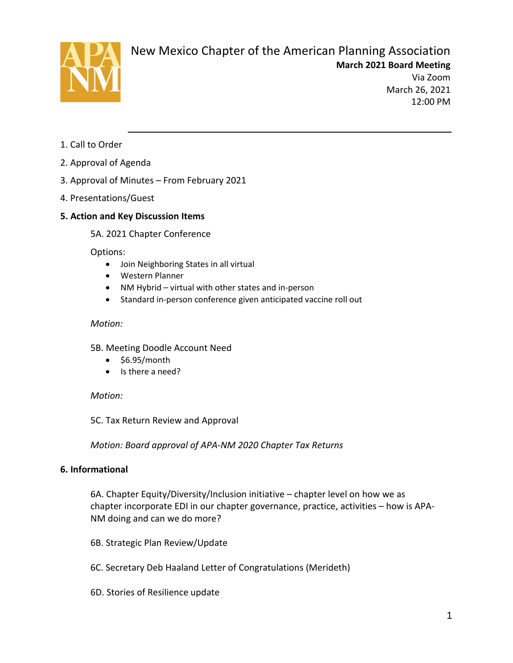

# New Mexico Chapter of the American Planning Association

**March 2021 Board Meeting** Via Zoom

March 26, 2021 12:00 PM

- 1. Call to Order
- 2. Approval of Agenda
- 3. Approval of Minutes From February 2021
- 4. Presentations/Guest

## **5. Action and Key Discussion Items**

5A. 2021 Chapter Conference

Options:

- Join Neighboring States in all virtual
- Western Planner
- NM Hybrid virtual with other states and in-person
- Standard in-person conference given anticipated vaccine roll out

### *Motion:*

- 5B. Meeting Doodle Account Need
	- \$6.95/month
	- Is there a need?

*Motion:* 

5C. Tax Return Review and Approval

*Motion: Board approval of APA-NM 2020 Chapter Tax Returns*

## **6. Informational**

6A. Chapter Equity/Diversity/Inclusion initiative – chapter level on how we as chapter incorporate EDI in our chapter governance, practice, activities – how is APA-NM doing and can we do more?

- 6B. Strategic Plan Review/Update
- 6C. Secretary Deb Haaland Letter of Congratulations (Merideth)
- 6D. Stories of Resilience update